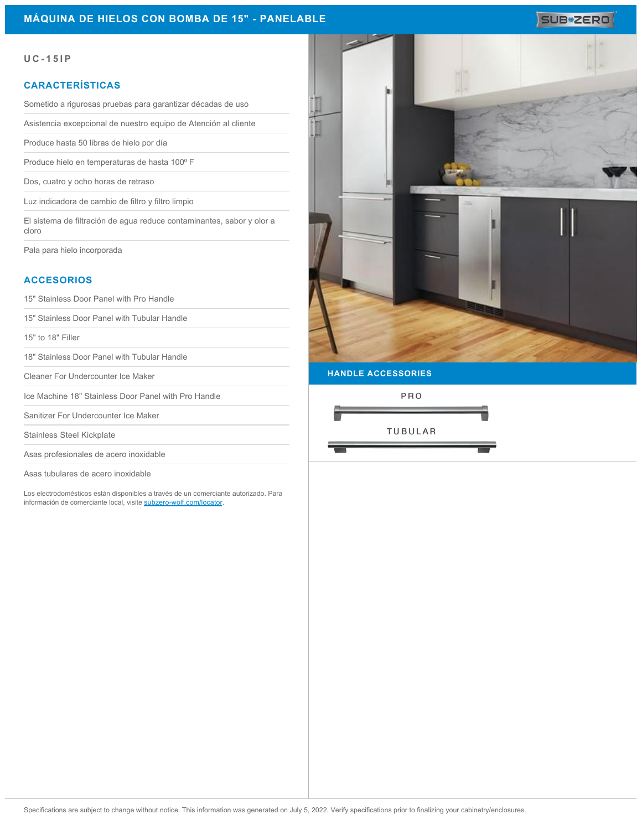### **MÁQUINA DE HIELOS CON BOMBA DE 15" - PANELABLE**

# SUB<sup>\*</sup>ZERO

#### **UC-15IP**

#### **CARACTERÍSTICAS**

Sometido a rigurosas pruebas para garantizar décadas de uso

Asistencia excepcional de nuestro equipo de Atención al cliente

Produce hasta 50 libras de hielo por día

Produce hielo en temperaturas de hasta 100° F

Dos, cuatro y ocho horas de retraso

Luz indicadora de cambio de filtro y filtro limpio

El sistema de filtración de agua reduce contaminantes, sabor y olor a cloro

Pala para hielo incorporada

## **ACCESORIOS**

15" Stainless Door Panel with Pro Handle

15" Stainless Door Panel with Tubular Handle

15" to 18" Filler

18" Stainless Door Panel with Tubular Handle

Cleaner For Undercounter Ice Maker

Ice Machine 18" Stainless Door Panel with Pro Handle

Sanitizer For Undercounter Ice Maker

Stainless Steel Kickplate

Asas profesionales de acero inoxidable

Asas tubulares de acero inoxidable

Los electrodomésticos están disponibles a través de un comerciante autorizado. Para información de comerciante local, visite [subzero-wolf.com/locator](http://www.subzero-wolf.com/locator)



PRO